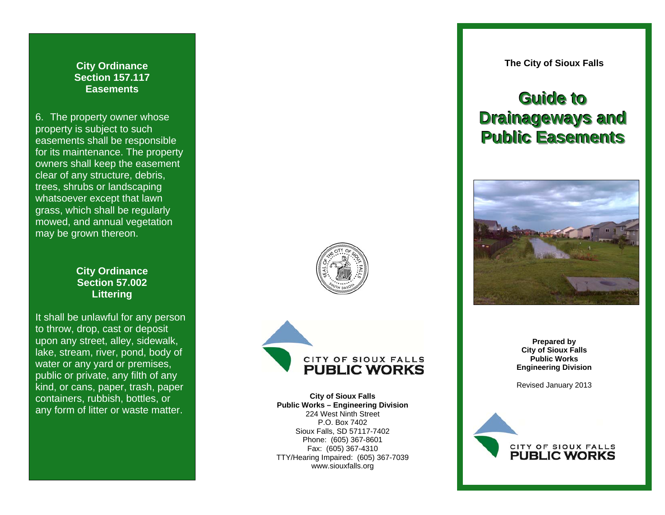**City Ordinance Section 157.117 Easements** 

6. The property owner whose property is subject to such easements shall be responsible for its maintenance. The property owners shall keep the easement clear of any structure, debris, trees, shrubs or landscaping whatsoever except that lawn grass, which shall be regularly mowed, and annual vegetation may be grown thereon.

## **City Ordinance Section 57.002 Littering**

It shall be unlawful for any person to throw, drop, cast or deposit upon any street, alley, sidewalk, lake, stream, river, pond, body of water or any yard or premises, public or private, any filth of any kind, or cans, paper, trash, paper containers, rubbish, bottles, or any form of litter or waste matter.

**The City of Sioux Falls** 

## **Guide** to **Drainageways and Public Easements**







**City of Sioux Falls Public Works – Engineering Division**  224 West Ninth Street P.O. Box 7402 Sioux Falls, SD 57117-7402 Phone: (605) 367-8601 Fax: (605) 367-4310 TTY/Hearing Impaired: (605) 367-7039 www.siouxfalls.org

**Prepared by City of Sioux Falls Public Works Engineering Division** 

Revised January 2013